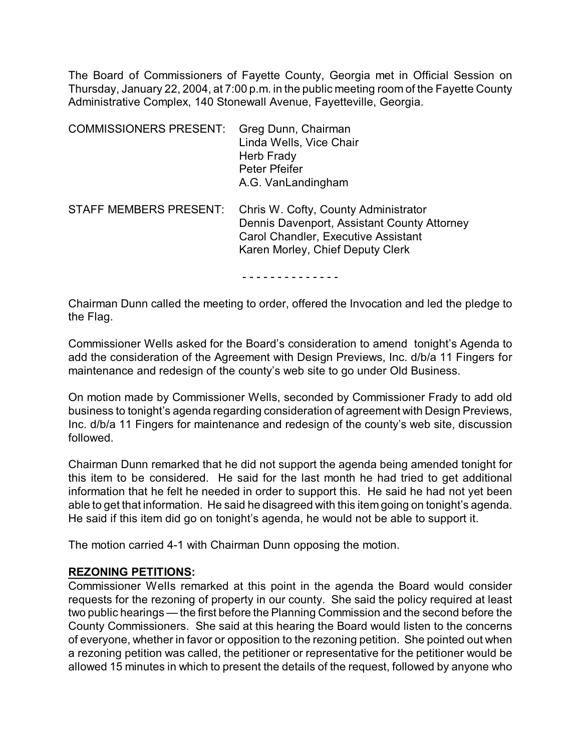The Board of Commissioners of Fayette County, Georgia met in Official Session on Thursday, January 22, 2004, at 7:00 p.m. in the public meeting room of the Fayette County Administrative Complex, 140 Stonewall Avenue, Fayetteville, Georgia.

| <b>COMMISSIONERS PRESENT:</b> | Greg Dunn, Chairman<br>Linda Wells, Vice Chair<br>Herb Frady<br>Peter Pfeifer<br>A.G. VanLandingham                                                                   |
|-------------------------------|-----------------------------------------------------------------------------------------------------------------------------------------------------------------------|
| <b>STAFF MEMBERS PRESENT:</b> | Chris W. Cofty, County Administrator<br>Dennis Davenport, Assistant County Attorney<br><b>Carol Chandler, Executive Assistant</b><br>Karen Morley, Chief Deputy Clerk |

- - - - - - - - - - - - - -

Chairman Dunn called the meeting to order, offered the Invocation and led the pledge to the Flag.

Commissioner Wells asked for the Board's consideration to amend tonight's Agenda to add the consideration of the Agreement with Design Previews, Inc. d/b/a 11 Fingers for maintenance and redesign of the county's web site to go under Old Business.

On motion made by Commissioner Wells, seconded by Commissioner Frady to add old business to tonight's agenda regarding consideration of agreement with Design Previews, Inc. d/b/a 11 Fingers for maintenance and redesign of the county's web site, discussion followed.

Chairman Dunn remarked that he did not support the agenda being amended tonight for this item to be considered. He said for the last month he had tried to get additional information that he felt he needed in order to support this. He said he had not yet been able to get that information. He said he disagreed with this item going on tonight's agenda. He said if this item did go on tonight's agenda, he would not be able to support it.

The motion carried 4-1 with Chairman Dunn opposing the motion.

# **REZONING PETITIONS:**

Commissioner Wells remarked at this point in the agenda the Board would consider requests for the rezoning of property in our county. She said the policy required at least two public hearings — the first before the Planning Commission and the second before the County Commissioners. She said at this hearing the Board would listen to the concerns of everyone, whether in favor or opposition to the rezoning petition. She pointed out when a rezoning petition was called, the petitioner or representative for the petitioner would be allowed 15 minutes in which to present the details of the request, followed by anyone who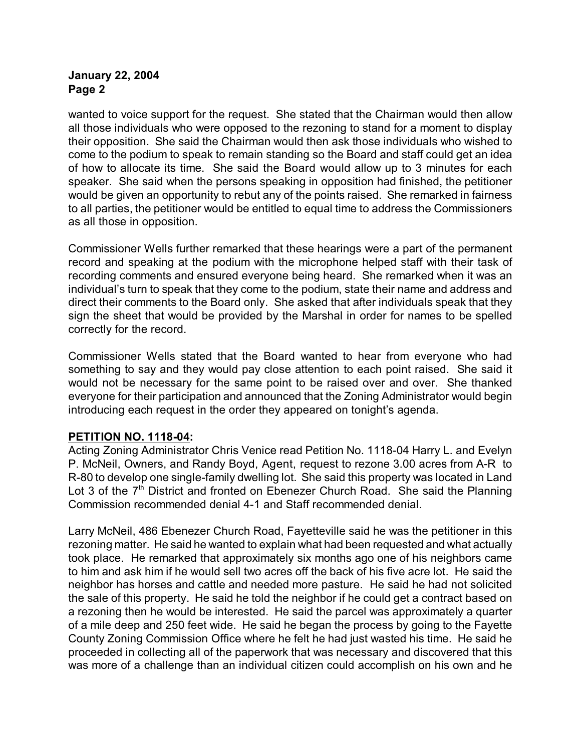wanted to voice support for the request. She stated that the Chairman would then allow all those individuals who were opposed to the rezoning to stand for a moment to display their opposition. She said the Chairman would then ask those individuals who wished to come to the podium to speak to remain standing so the Board and staff could get an idea of how to allocate its time. She said the Board would allow up to 3 minutes for each speaker. She said when the persons speaking in opposition had finished, the petitioner would be given an opportunity to rebut any of the points raised. She remarked in fairness to all parties, the petitioner would be entitled to equal time to address the Commissioners as all those in opposition.

Commissioner Wells further remarked that these hearings were a part of the permanent record and speaking at the podium with the microphone helped staff with their task of recording comments and ensured everyone being heard. She remarked when it was an individual's turn to speak that they come to the podium, state their name and address and direct their comments to the Board only. She asked that after individuals speak that they sign the sheet that would be provided by the Marshal in order for names to be spelled correctly for the record.

Commissioner Wells stated that the Board wanted to hear from everyone who had something to say and they would pay close attention to each point raised. She said it would not be necessary for the same point to be raised over and over. She thanked everyone for their participation and announced that the Zoning Administrator would begin introducing each request in the order they appeared on tonight's agenda.

# **PETITION NO. 1118-04:**

Acting Zoning Administrator Chris Venice read Petition No. 1118-04 Harry L. and Evelyn P. McNeil, Owners, and Randy Boyd, Agent, request to rezone 3.00 acres from A-R to R-80 to develop one single-family dwelling lot. She said this property was located in Land Lot 3 of the  $7<sup>th</sup>$  District and fronted on Ebenezer Church Road. She said the Planning Commission recommended denial 4-1 and Staff recommended denial.

Larry McNeil, 486 Ebenezer Church Road, Fayetteville said he was the petitioner in this rezoning matter. He said he wanted to explain what had been requested and what actually took place. He remarked that approximately six months ago one of his neighbors came to him and ask him if he would sell two acres off the back of his five acre lot. He said the neighbor has horses and cattle and needed more pasture. He said he had not solicited the sale of this property. He said he told the neighbor if he could get a contract based on a rezoning then he would be interested. He said the parcel was approximately a quarter of a mile deep and 250 feet wide. He said he began the process by going to the Fayette County Zoning Commission Office where he felt he had just wasted his time. He said he proceeded in collecting all of the paperwork that was necessary and discovered that this was more of a challenge than an individual citizen could accomplish on his own and he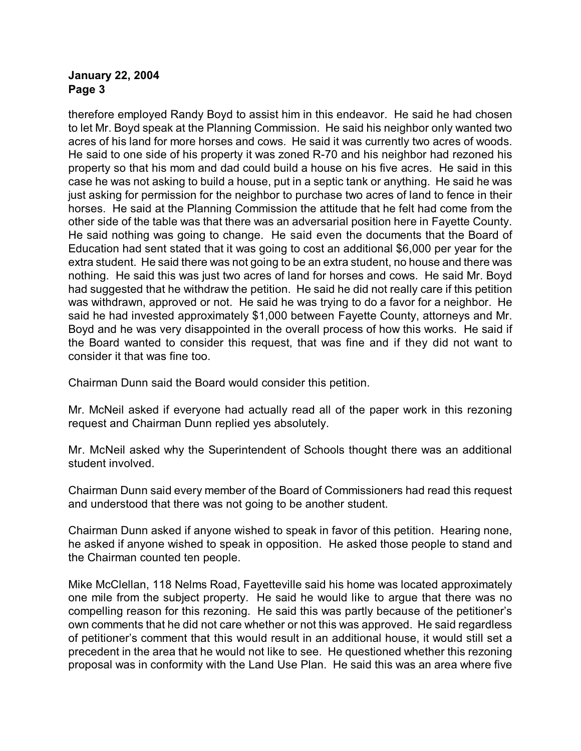therefore employed Randy Boyd to assist him in this endeavor. He said he had chosen to let Mr. Boyd speak at the Planning Commission. He said his neighbor only wanted two acres of his land for more horses and cows. He said it was currently two acres of woods. He said to one side of his property it was zoned R-70 and his neighbor had rezoned his property so that his mom and dad could build a house on his five acres. He said in this case he was not asking to build a house, put in a septic tank or anything. He said he was just asking for permission for the neighbor to purchase two acres of land to fence in their horses. He said at the Planning Commission the attitude that he felt had come from the other side of the table was that there was an adversarial position here in Fayette County. He said nothing was going to change. He said even the documents that the Board of Education had sent stated that it was going to cost an additional \$6,000 per year for the extra student. He said there was not going to be an extra student, no house and there was nothing. He said this was just two acres of land for horses and cows. He said Mr. Boyd had suggested that he withdraw the petition. He said he did not really care if this petition was withdrawn, approved or not. He said he was trying to do a favor for a neighbor. He said he had invested approximately \$1,000 between Fayette County, attorneys and Mr. Boyd and he was very disappointed in the overall process of how this works. He said if the Board wanted to consider this request, that was fine and if they did not want to consider it that was fine too.

Chairman Dunn said the Board would consider this petition.

Mr. McNeil asked if everyone had actually read all of the paper work in this rezoning request and Chairman Dunn replied yes absolutely.

Mr. McNeil asked why the Superintendent of Schools thought there was an additional student involved.

Chairman Dunn said every member of the Board of Commissioners had read this request and understood that there was not going to be another student.

Chairman Dunn asked if anyone wished to speak in favor of this petition. Hearing none, he asked if anyone wished to speak in opposition. He asked those people to stand and the Chairman counted ten people.

Mike McClellan, 118 Nelms Road, Fayetteville said his home was located approximately one mile from the subject property. He said he would like to argue that there was no compelling reason for this rezoning. He said this was partly because of the petitioner's own comments that he did not care whether or not this was approved. He said regardless of petitioner's comment that this would result in an additional house, it would still set a precedent in the area that he would not like to see. He questioned whether this rezoning proposal was in conformity with the Land Use Plan. He said this was an area where five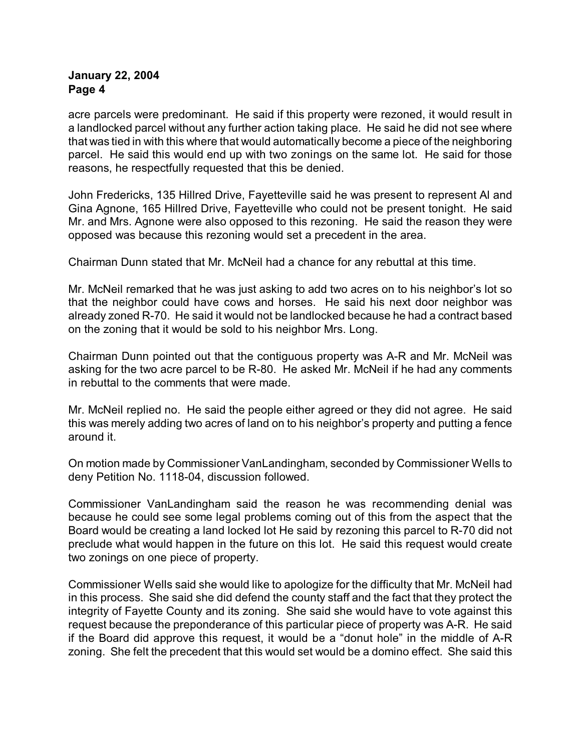acre parcels were predominant. He said if this property were rezoned, it would result in a landlocked parcel without any further action taking place. He said he did not see where that was tied in with this where that would automatically become a piece of the neighboring parcel. He said this would end up with two zonings on the same lot. He said for those reasons, he respectfully requested that this be denied.

John Fredericks, 135 Hillred Drive, Fayetteville said he was present to represent Al and Gina Agnone, 165 Hillred Drive, Fayetteville who could not be present tonight. He said Mr. and Mrs. Agnone were also opposed to this rezoning. He said the reason they were opposed was because this rezoning would set a precedent in the area.

Chairman Dunn stated that Mr. McNeil had a chance for any rebuttal at this time.

Mr. McNeil remarked that he was just asking to add two acres on to his neighbor's lot so that the neighbor could have cows and horses. He said his next door neighbor was already zoned R-70. He said it would not be landlocked because he had a contract based on the zoning that it would be sold to his neighbor Mrs. Long.

Chairman Dunn pointed out that the contiguous property was A-R and Mr. McNeil was asking for the two acre parcel to be R-80. He asked Mr. McNeil if he had any comments in rebuttal to the comments that were made.

Mr. McNeil replied no. He said the people either agreed or they did not agree. He said this was merely adding two acres of land on to his neighbor's property and putting a fence around it.

On motion made by Commissioner VanLandingham, seconded by Commissioner Wells to deny Petition No. 1118-04, discussion followed.

Commissioner VanLandingham said the reason he was recommending denial was because he could see some legal problems coming out of this from the aspect that the Board would be creating a land locked lot He said by rezoning this parcel to R-70 did not preclude what would happen in the future on this lot. He said this request would create two zonings on one piece of property.

Commissioner Wells said she would like to apologize for the difficulty that Mr. McNeil had in this process. She said she did defend the county staff and the fact that they protect the integrity of Fayette County and its zoning. She said she would have to vote against this request because the preponderance of this particular piece of property was A-R. He said if the Board did approve this request, it would be a "donut hole" in the middle of A-R zoning. She felt the precedent that this would set would be a domino effect. She said this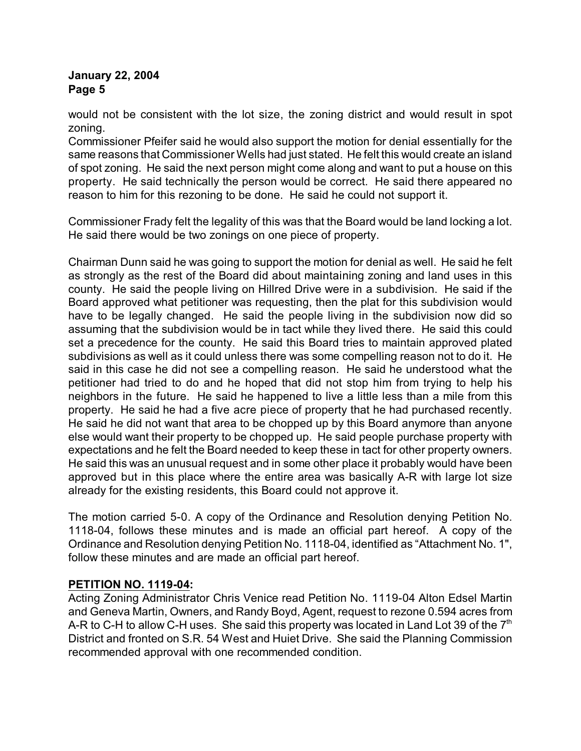would not be consistent with the lot size, the zoning district and would result in spot zoning.

Commissioner Pfeifer said he would also support the motion for denial essentially for the same reasons that Commissioner Wells had just stated. He felt this would create an island of spot zoning. He said the next person might come along and want to put a house on this property. He said technically the person would be correct. He said there appeared no reason to him for this rezoning to be done. He said he could not support it.

Commissioner Frady felt the legality of this was that the Board would be land locking a lot. He said there would be two zonings on one piece of property.

Chairman Dunn said he was going to support the motion for denial as well. He said he felt as strongly as the rest of the Board did about maintaining zoning and land uses in this county. He said the people living on Hillred Drive were in a subdivision. He said if the Board approved what petitioner was requesting, then the plat for this subdivision would have to be legally changed. He said the people living in the subdivision now did so assuming that the subdivision would be in tact while they lived there. He said this could set a precedence for the county. He said this Board tries to maintain approved plated subdivisions as well as it could unless there was some compelling reason not to do it. He said in this case he did not see a compelling reason. He said he understood what the petitioner had tried to do and he hoped that did not stop him from trying to help his neighbors in the future. He said he happened to live a little less than a mile from this property. He said he had a five acre piece of property that he had purchased recently. He said he did not want that area to be chopped up by this Board anymore than anyone else would want their property to be chopped up. He said people purchase property with expectations and he felt the Board needed to keep these in tact for other property owners. He said this was an unusual request and in some other place it probably would have been approved but in this place where the entire area was basically A-R with large lot size already for the existing residents, this Board could not approve it.

The motion carried 5-0. A copy of the Ordinance and Resolution denying Petition No. 1118-04, follows these minutes and is made an official part hereof. A copy of the Ordinance and Resolution denying Petition No. 1118-04, identified as "Attachment No. 1", follow these minutes and are made an official part hereof.

# **PETITION NO. 1119-04:**

Acting Zoning Administrator Chris Venice read Petition No. 1119-04 Alton Edsel Martin and Geneva Martin, Owners, and Randy Boyd, Agent, request to rezone 0.594 acres from A-R to C-H to allow C-H uses. She said this property was located in Land Lot 39 of the  $7<sup>th</sup>$ District and fronted on S.R. 54 West and Huiet Drive. She said the Planning Commission recommended approval with one recommended condition.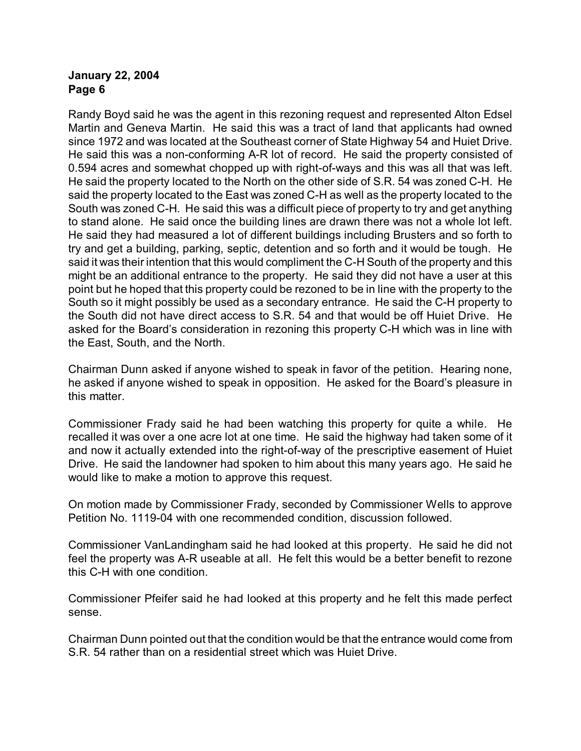Randy Boyd said he was the agent in this rezoning request and represented Alton Edsel Martin and Geneva Martin. He said this was a tract of land that applicants had owned since 1972 and was located at the Southeast corner of State Highway 54 and Huiet Drive. He said this was a non-conforming A-R lot of record. He said the property consisted of 0.594 acres and somewhat chopped up with right-of-ways and this was all that was left. He said the property located to the North on the other side of S.R. 54 was zoned C-H. He said the property located to the East was zoned C-H as well as the property located to the South was zoned C-H. He said this was a difficult piece of property to try and get anything to stand alone. He said once the building lines are drawn there was not a whole lot left. He said they had measured a lot of different buildings including Brusters and so forth to try and get a building, parking, septic, detention and so forth and it would be tough. He said it was their intention that this would compliment the C-H South of the property and this might be an additional entrance to the property. He said they did not have a user at this point but he hoped that this property could be rezoned to be in line with the property to the South so it might possibly be used as a secondary entrance. He said the C-H property to the South did not have direct access to S.R. 54 and that would be off Huiet Drive. He asked for the Board's consideration in rezoning this property C-H which was in line with the East, South, and the North.

Chairman Dunn asked if anyone wished to speak in favor of the petition. Hearing none, he asked if anyone wished to speak in opposition. He asked for the Board's pleasure in this matter.

Commissioner Frady said he had been watching this property for quite a while. He recalled it was over a one acre lot at one time. He said the highway had taken some of it and now it actually extended into the right-of-way of the prescriptive easement of Huiet Drive. He said the landowner had spoken to him about this many years ago. He said he would like to make a motion to approve this request.

On motion made by Commissioner Frady, seconded by Commissioner Wells to approve Petition No. 1119-04 with one recommended condition, discussion followed.

Commissioner VanLandingham said he had looked at this property. He said he did not feel the property was A-R useable at all. He felt this would be a better benefit to rezone this C-H with one condition.

Commissioner Pfeifer said he had looked at this property and he felt this made perfect sense.

Chairman Dunn pointed out that the condition would be that the entrance would come from S.R. 54 rather than on a residential street which was Huiet Drive.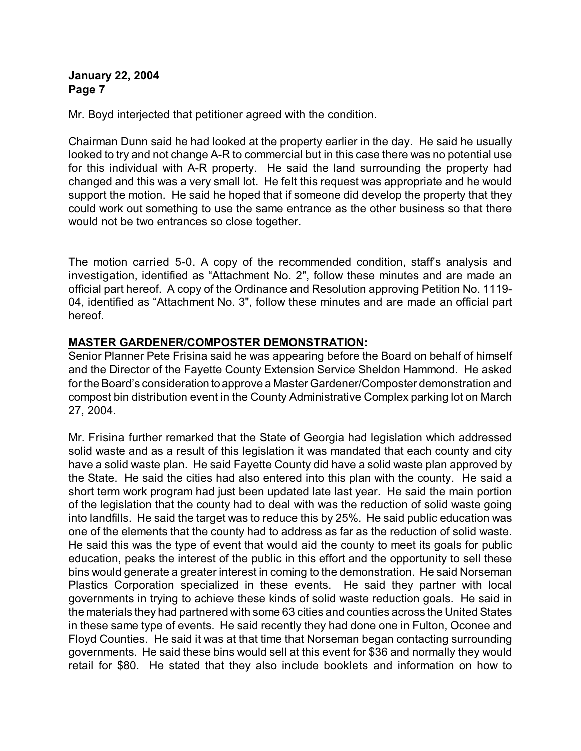Mr. Boyd interjected that petitioner agreed with the condition.

Chairman Dunn said he had looked at the property earlier in the day. He said he usually looked to try and not change A-R to commercial but in this case there was no potential use for this individual with A-R property. He said the land surrounding the property had changed and this was a very small lot. He felt this request was appropriate and he would support the motion. He said he hoped that if someone did develop the property that they could work out something to use the same entrance as the other business so that there would not be two entrances so close together.

The motion carried 5-0. A copy of the recommended condition, staff's analysis and investigation, identified as "Attachment No. 2", follow these minutes and are made an official part hereof. A copy of the Ordinance and Resolution approving Petition No. 1119- 04, identified as "Attachment No. 3", follow these minutes and are made an official part hereof.

### **MASTER GARDENER/COMPOSTER DEMONSTRATION:**

Senior Planner Pete Frisina said he was appearing before the Board on behalf of himself and the Director of the Fayette County Extension Service Sheldon Hammond. He asked for the Board's consideration to approve a Master Gardener/Composter demonstration and compost bin distribution event in the County Administrative Complex parking lot on March 27, 2004.

Mr. Frisina further remarked that the State of Georgia had legislation which addressed solid waste and as a result of this legislation it was mandated that each county and city have a solid waste plan. He said Fayette County did have a solid waste plan approved by the State. He said the cities had also entered into this plan with the county. He said a short term work program had just been updated late last year. He said the main portion of the legislation that the county had to deal with was the reduction of solid waste going into landfills. He said the target was to reduce this by 25%. He said public education was one of the elements that the county had to address as far as the reduction of solid waste. He said this was the type of event that would aid the county to meet its goals for public education, peaks the interest of the public in this effort and the opportunity to sell these bins would generate a greater interest in coming to the demonstration. He said Norseman Plastics Corporation specialized in these events. He said they partner with local governments in trying to achieve these kinds of solid waste reduction goals. He said in the materials they had partnered with some 63 cities and counties across the United States in these same type of events. He said recently they had done one in Fulton, Oconee and Floyd Counties. He said it was at that time that Norseman began contacting surrounding governments. He said these bins would sell at this event for \$36 and normally they would retail for \$80. He stated that they also include booklets and information on how to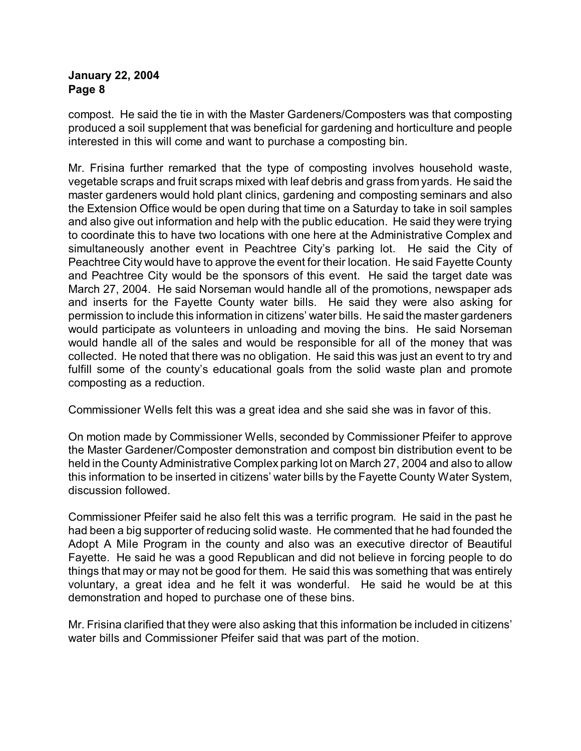compost. He said the tie in with the Master Gardeners/Composters was that composting produced a soil supplement that was beneficial for gardening and horticulture and people interested in this will come and want to purchase a composting bin.

Mr. Frisina further remarked that the type of composting involves household waste, vegetable scraps and fruit scraps mixed with leaf debris and grass from yards. He said the master gardeners would hold plant clinics, gardening and composting seminars and also the Extension Office would be open during that time on a Saturday to take in soil samples and also give out information and help with the public education. He said they were trying to coordinate this to have two locations with one here at the Administrative Complex and simultaneously another event in Peachtree City's parking lot. He said the City of Peachtree City would have to approve the event for their location. He said Fayette County and Peachtree City would be the sponsors of this event. He said the target date was March 27, 2004. He said Norseman would handle all of the promotions, newspaper ads and inserts for the Fayette County water bills. He said they were also asking for permission to include this information in citizens' water bills. He said the master gardeners would participate as volunteers in unloading and moving the bins. He said Norseman would handle all of the sales and would be responsible for all of the money that was collected. He noted that there was no obligation. He said this was just an event to try and fulfill some of the county's educational goals from the solid waste plan and promote composting as a reduction.

Commissioner Wells felt this was a great idea and she said she was in favor of this.

On motion made by Commissioner Wells, seconded by Commissioner Pfeifer to approve the Master Gardener/Composter demonstration and compost bin distribution event to be held in the County Administrative Complex parking lot on March 27, 2004 and also to allow this information to be inserted in citizens' water bills by the Fayette County Water System, discussion followed.

Commissioner Pfeifer said he also felt this was a terrific program. He said in the past he had been a big supporter of reducing solid waste. He commented that he had founded the Adopt A Mile Program in the county and also was an executive director of Beautiful Fayette. He said he was a good Republican and did not believe in forcing people to do things that may or may not be good for them. He said this was something that was entirely voluntary, a great idea and he felt it was wonderful. He said he would be at this demonstration and hoped to purchase one of these bins.

Mr. Frisina clarified that they were also asking that this information be included in citizens' water bills and Commissioner Pfeifer said that was part of the motion.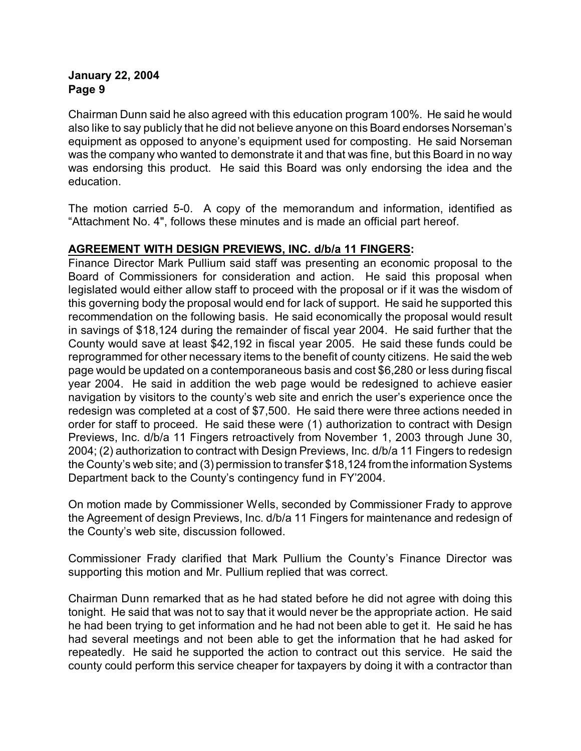Chairman Dunn said he also agreed with this education program 100%. He said he would also like to say publicly that he did not believe anyone on this Board endorses Norseman's equipment as opposed to anyone's equipment used for composting. He said Norseman was the company who wanted to demonstrate it and that was fine, but this Board in no way was endorsing this product. He said this Board was only endorsing the idea and the education.

The motion carried 5-0. A copy of the memorandum and information, identified as "Attachment No. 4", follows these minutes and is made an official part hereof.

### **AGREEMENT WITH DESIGN PREVIEWS, INC. d/b/a 11 FINGERS:**

Finance Director Mark Pullium said staff was presenting an economic proposal to the Board of Commissioners for consideration and action. He said this proposal when legislated would either allow staff to proceed with the proposal or if it was the wisdom of this governing body the proposal would end for lack of support. He said he supported this recommendation on the following basis. He said economically the proposal would result in savings of \$18,124 during the remainder of fiscal year 2004. He said further that the County would save at least \$42,192 in fiscal year 2005. He said these funds could be reprogrammed for other necessary items to the benefit of county citizens. He said the web page would be updated on a contemporaneous basis and cost \$6,280 or less during fiscal year 2004. He said in addition the web page would be redesigned to achieve easier navigation by visitors to the county's web site and enrich the user's experience once the redesign was completed at a cost of \$7,500. He said there were three actions needed in order for staff to proceed. He said these were (1) authorization to contract with Design Previews, Inc. d/b/a 11 Fingers retroactively from November 1, 2003 through June 30, 2004; (2) authorization to contract with Design Previews, Inc. d/b/a 11 Fingers to redesign the County's web site; and (3) permission to transfer \$18,124 from the information Systems Department back to the County's contingency fund in FY'2004.

On motion made by Commissioner Wells, seconded by Commissioner Frady to approve the Agreement of design Previews, Inc. d/b/a 11 Fingers for maintenance and redesign of the County's web site, discussion followed.

Commissioner Frady clarified that Mark Pullium the County's Finance Director was supporting this motion and Mr. Pullium replied that was correct.

Chairman Dunn remarked that as he had stated before he did not agree with doing this tonight. He said that was not to say that it would never be the appropriate action. He said he had been trying to get information and he had not been able to get it. He said he has had several meetings and not been able to get the information that he had asked for repeatedly. He said he supported the action to contract out this service. He said the county could perform this service cheaper for taxpayers by doing it with a contractor than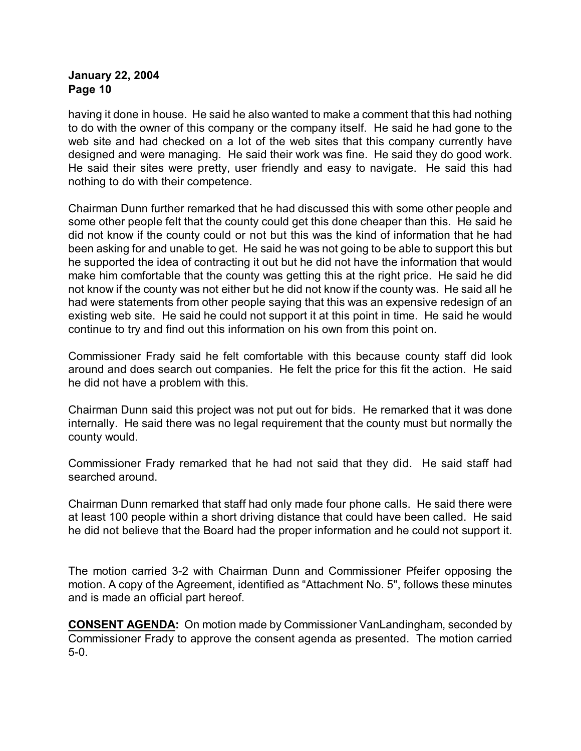having it done in house. He said he also wanted to make a comment that this had nothing to do with the owner of this company or the company itself. He said he had gone to the web site and had checked on a lot of the web sites that this company currently have designed and were managing. He said their work was fine. He said they do good work. He said their sites were pretty, user friendly and easy to navigate. He said this had nothing to do with their competence.

Chairman Dunn further remarked that he had discussed this with some other people and some other people felt that the county could get this done cheaper than this. He said he did not know if the county could or not but this was the kind of information that he had been asking for and unable to get. He said he was not going to be able to support this but he supported the idea of contracting it out but he did not have the information that would make him comfortable that the county was getting this at the right price. He said he did not know if the county was not either but he did not know if the county was. He said all he had were statements from other people saying that this was an expensive redesign of an existing web site. He said he could not support it at this point in time. He said he would continue to try and find out this information on his own from this point on.

Commissioner Frady said he felt comfortable with this because county staff did look around and does search out companies. He felt the price for this fit the action. He said he did not have a problem with this.

Chairman Dunn said this project was not put out for bids. He remarked that it was done internally. He said there was no legal requirement that the county must but normally the county would.

Commissioner Frady remarked that he had not said that they did. He said staff had searched around.

Chairman Dunn remarked that staff had only made four phone calls. He said there were at least 100 people within a short driving distance that could have been called. He said he did not believe that the Board had the proper information and he could not support it.

The motion carried 3-2 with Chairman Dunn and Commissioner Pfeifer opposing the motion. A copy of the Agreement, identified as "Attachment No. 5", follows these minutes and is made an official part hereof.

**CONSENT AGENDA:** On motion made by Commissioner VanLandingham, seconded by Commissioner Frady to approve the consent agenda as presented. The motion carried 5-0.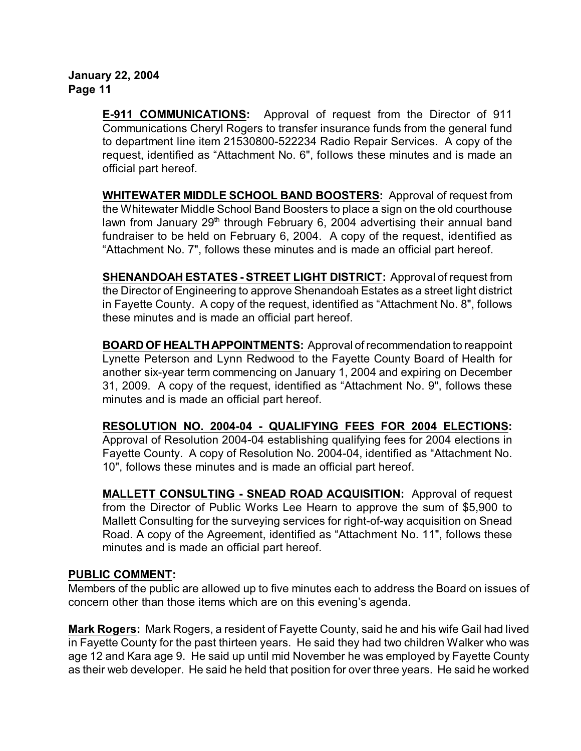**E-911 COMMUNICATIONS:** Approval of request from the Director of 911 Communications Cheryl Rogers to transfer insurance funds from the general fund to department line item 21530800-522234 Radio Repair Services. A copy of the request, identified as "Attachment No. 6", follows these minutes and is made an official part hereof.

**WHITEWATER MIDDLE SCHOOL BAND BOOSTERS:** Approval of request from the Whitewater Middle School Band Boosters to place a sign on the old courthouse lawn from January  $29<sup>th</sup>$  through February 6, 2004 advertising their annual band fundraiser to be held on February 6, 2004. A copy of the request, identified as "Attachment No. 7", follows these minutes and is made an official part hereof.

**SHENANDOAH ESTATES - STREET LIGHT DISTRICT:** Approval of request from the Director of Engineering to approve Shenandoah Estates as a street light district in Fayette County. A copy of the request, identified as "Attachment No. 8", follows these minutes and is made an official part hereof.

**BOARD OF HEALTH APPOINTMENTS:** Approval of recommendation to reappoint Lynette Peterson and Lynn Redwood to the Fayette County Board of Health for another six-year term commencing on January 1, 2004 and expiring on December 31, 2009. A copy of the request, identified as "Attachment No. 9", follows these minutes and is made an official part hereof.

**RESOLUTION NO. 2004-04 - QUALIFYING FEES FOR 2004 ELECTIONS:** Approval of Resolution 2004-04 establishing qualifying fees for 2004 elections in Fayette County. A copy of Resolution No. 2004-04, identified as "Attachment No. 10", follows these minutes and is made an official part hereof.

**MALLETT CONSULTING - SNEAD ROAD ACQUISITION:** Approval of request from the Director of Public Works Lee Hearn to approve the sum of \$5,900 to Mallett Consulting for the surveying services for right-of-way acquisition on Snead Road. A copy of the Agreement, identified as "Attachment No. 11", follows these minutes and is made an official part hereof.

# **PUBLIC COMMENT:**

Members of the public are allowed up to five minutes each to address the Board on issues of concern other than those items which are on this evening's agenda.

**Mark Rogers:** Mark Rogers, a resident of Fayette County, said he and his wife Gail had lived in Fayette County for the past thirteen years. He said they had two children Walker who was age 12 and Kara age 9. He said up until mid November he was employed by Fayette County as their web developer. He said he held that position for over three years. He said he worked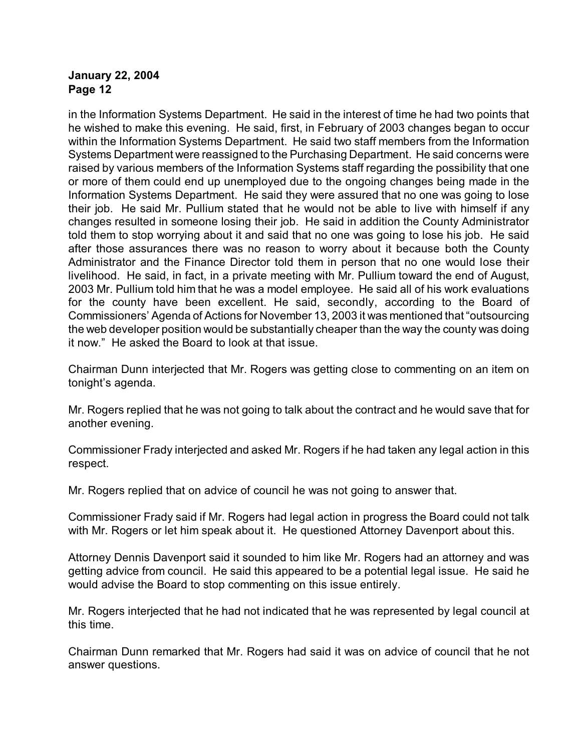in the Information Systems Department. He said in the interest of time he had two points that he wished to make this evening. He said, first, in February of 2003 changes began to occur within the Information Systems Department. He said two staff members from the Information Systems Department were reassigned to the Purchasing Department. He said concerns were raised by various members of the Information Systems staff regarding the possibility that one or more of them could end up unemployed due to the ongoing changes being made in the Information Systems Department. He said they were assured that no one was going to lose their job. He said Mr. Pullium stated that he would not be able to live with himself if any changes resulted in someone losing their job. He said in addition the County Administrator told them to stop worrying about it and said that no one was going to lose his job. He said after those assurances there was no reason to worry about it because both the County Administrator and the Finance Director told them in person that no one would lose their livelihood. He said, in fact, in a private meeting with Mr. Pullium toward the end of August, 2003 Mr. Pullium told him that he was a model employee. He said all of his work evaluations for the county have been excellent. He said, secondly, according to the Board of Commissioners' Agenda of Actions for November 13, 2003 it was mentioned that "outsourcing the web developer position would be substantially cheaper than the way the county was doing it now." He asked the Board to look at that issue.

Chairman Dunn interjected that Mr. Rogers was getting close to commenting on an item on tonight's agenda.

Mr. Rogers replied that he was not going to talk about the contract and he would save that for another evening.

Commissioner Frady interjected and asked Mr. Rogers if he had taken any legal action in this respect.

Mr. Rogers replied that on advice of council he was not going to answer that.

Commissioner Frady said if Mr. Rogers had legal action in progress the Board could not talk with Mr. Rogers or let him speak about it. He questioned Attorney Davenport about this.

Attorney Dennis Davenport said it sounded to him like Mr. Rogers had an attorney and was getting advice from council. He said this appeared to be a potential legal issue. He said he would advise the Board to stop commenting on this issue entirely.

Mr. Rogers interjected that he had not indicated that he was represented by legal council at this time.

Chairman Dunn remarked that Mr. Rogers had said it was on advice of council that he not answer questions.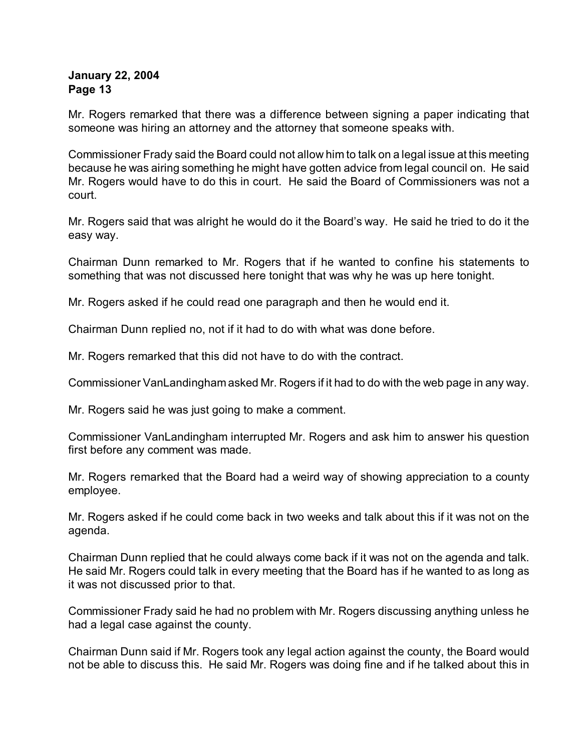Mr. Rogers remarked that there was a difference between signing a paper indicating that someone was hiring an attorney and the attorney that someone speaks with.

Commissioner Frady said the Board could not allow him to talk on a legal issue at this meeting because he was airing something he might have gotten advice from legal council on. He said Mr. Rogers would have to do this in court. He said the Board of Commissioners was not a court.

Mr. Rogers said that was alright he would do it the Board's way. He said he tried to do it the easy way.

Chairman Dunn remarked to Mr. Rogers that if he wanted to confine his statements to something that was not discussed here tonight that was why he was up here tonight.

Mr. Rogers asked if he could read one paragraph and then he would end it.

Chairman Dunn replied no, not if it had to do with what was done before.

Mr. Rogers remarked that this did not have to do with the contract.

Commissioner VanLandingham asked Mr. Rogers if it had to do with the web page in any way.

Mr. Rogers said he was just going to make a comment.

Commissioner VanLandingham interrupted Mr. Rogers and ask him to answer his question first before any comment was made.

Mr. Rogers remarked that the Board had a weird way of showing appreciation to a county employee.

Mr. Rogers asked if he could come back in two weeks and talk about this if it was not on the agenda.

Chairman Dunn replied that he could always come back if it was not on the agenda and talk. He said Mr. Rogers could talk in every meeting that the Board has if he wanted to as long as it was not discussed prior to that.

Commissioner Frady said he had no problem with Mr. Rogers discussing anything unless he had a legal case against the county.

Chairman Dunn said if Mr. Rogers took any legal action against the county, the Board would not be able to discuss this. He said Mr. Rogers was doing fine and if he talked about this in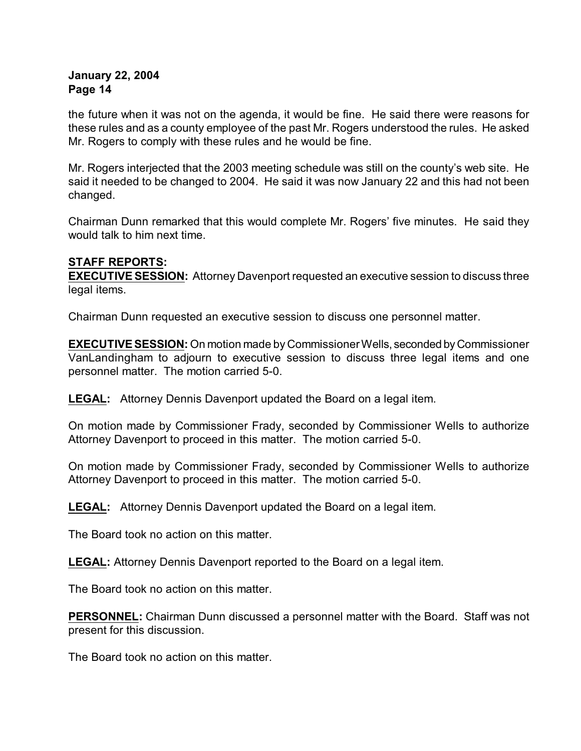the future when it was not on the agenda, it would be fine. He said there were reasons for these rules and as a county employee of the past Mr. Rogers understood the rules. He asked Mr. Rogers to comply with these rules and he would be fine.

Mr. Rogers interjected that the 2003 meeting schedule was still on the county's web site. He said it needed to be changed to 2004. He said it was now January 22 and this had not been changed.

Chairman Dunn remarked that this would complete Mr. Rogers' five minutes. He said they would talk to him next time.

# **STAFF REPORTS:**

**EXECUTIVE SESSION:** Attorney Davenport requested an executive session to discuss three legal items.

Chairman Dunn requested an executive session to discuss one personnel matter.

**EXECUTIVE SESSION:** On motion made by Commissioner Wells, seconded by Commissioner VanLandingham to adjourn to executive session to discuss three legal items and one personnel matter. The motion carried 5-0.

**LEGAL:** Attorney Dennis Davenport updated the Board on a legal item.

On motion made by Commissioner Frady, seconded by Commissioner Wells to authorize Attorney Davenport to proceed in this matter. The motion carried 5-0.

On motion made by Commissioner Frady, seconded by Commissioner Wells to authorize Attorney Davenport to proceed in this matter. The motion carried 5-0.

**LEGAL:** Attorney Dennis Davenport updated the Board on a legal item.

The Board took no action on this matter.

**LEGAL:** Attorney Dennis Davenport reported to the Board on a legal item.

The Board took no action on this matter.

**PERSONNEL:** Chairman Dunn discussed a personnel matter with the Board. Staff was not present for this discussion.

The Board took no action on this matter.